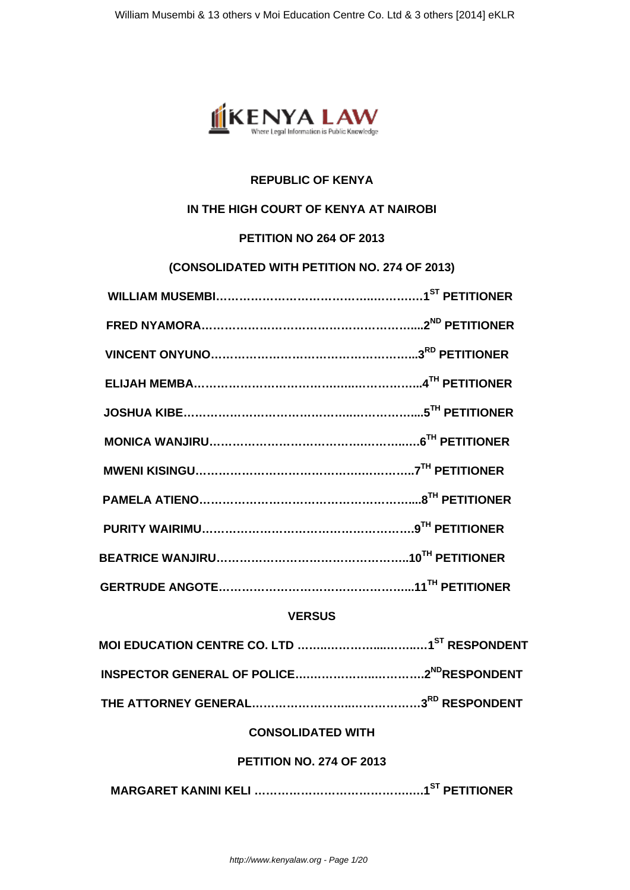

# **REPUBLIC OF KENYA**

## **IN THE HIGH COURT OF KENYA AT NAIROBI**

## **PETITION NO 264 OF 2013**

## **(CONSOLIDATED WITH PETITION NO. 274 OF 2013)**

# **VERSUS**

# **THE ATTORNEY GENERAL……………………..………………3RD RESPONDENT**

# **CONSOLIDATED WITH**

# **PETITION NO. 274 OF 2013**

**MARGARET KANINI KELI ………………………………….….1ST PETITIONER**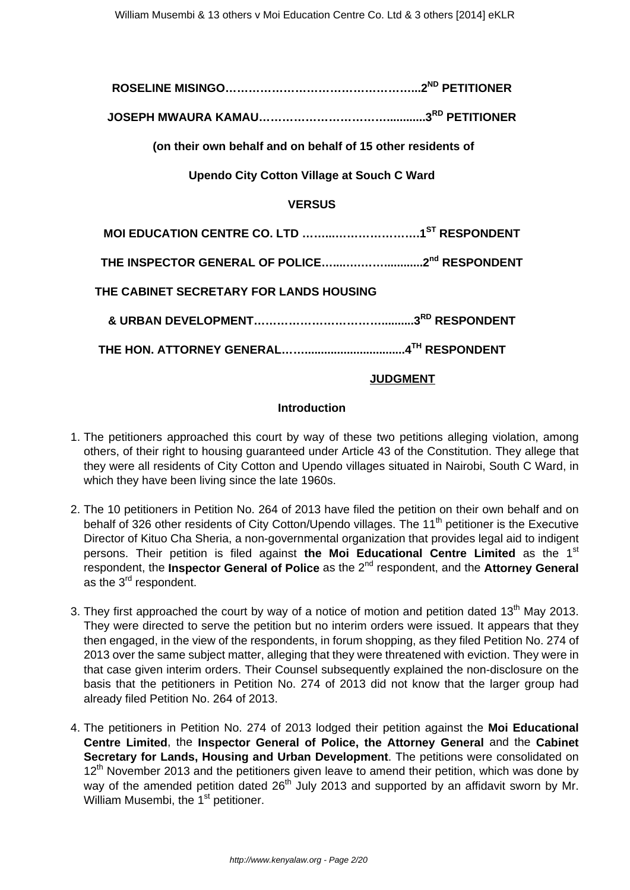# **ROSELINE MISINGO…………………………………………...2ND PETITIONER**

**JOSEPH MWAURA KAMAU……………………………............3RD PETITIONER**

**(on their own behalf and on behalf of 15 other residents of**

**Upendo City Cotton Village at Souch C Ward**

#### **VERSUS**

| THE CABINET SECRETARY FOR LANDS HOUSING |  |
|-----------------------------------------|--|
|                                         |  |
|                                         |  |

#### **JUDGMENT**

#### **Introduction**

- 1. The petitioners approached this court by way of these two petitions alleging violation, among others, of their right to housing guaranteed under Article 43 of the Constitution. They allege that they were all residents of City Cotton and Upendo villages situated in Nairobi, South C Ward, in which they have been living since the late 1960s.
- 2. The 10 petitioners in Petition No. 264 of 2013 have filed the petition on their own behalf and on behalf of 326 other residents of City Cotton/Upendo villages. The 11<sup>th</sup> petitioner is the Executive Director of Kituo Cha Sheria, a non-governmental organization that provides legal aid to indigent persons. Their petition is filed against the Moi Educational Centre Limited as the 1<sup>st</sup> respondent, the **Inspector General of Police** as the 2nd respondent, and the **Attorney General** as the 3<sup>rd</sup> respondent.
- 3. They first approached the court by way of a notice of motion and petition dated 13<sup>th</sup> May 2013. They were directed to serve the petition but no interim orders were issued. It appears that they then engaged, in the view of the respondents, in forum shopping, as they filed Petition No. 274 of 2013 over the same subject matter, alleging that they were threatened with eviction. They were in that case given interim orders. Their Counsel subsequently explained the non-disclosure on the basis that the petitioners in Petition No. 274 of 2013 did not know that the larger group had already filed Petition No. 264 of 2013.
- 4. The petitioners in Petition No. 274 of 2013 lodged their petition against the **Moi Educational Centre Limited**, the **Inspector General of Police, the Attorney General** and the **Cabinet Secretary for Lands, Housing and Urban Development**. The petitions were consolidated on  $12<sup>th</sup>$  November 2013 and the petitioners given leave to amend their petition, which was done by way of the amended petition dated  $26<sup>th</sup>$  July 2013 and supported by an affidavit sworn by Mr. William Musembi, the 1<sup>st</sup> petitioner.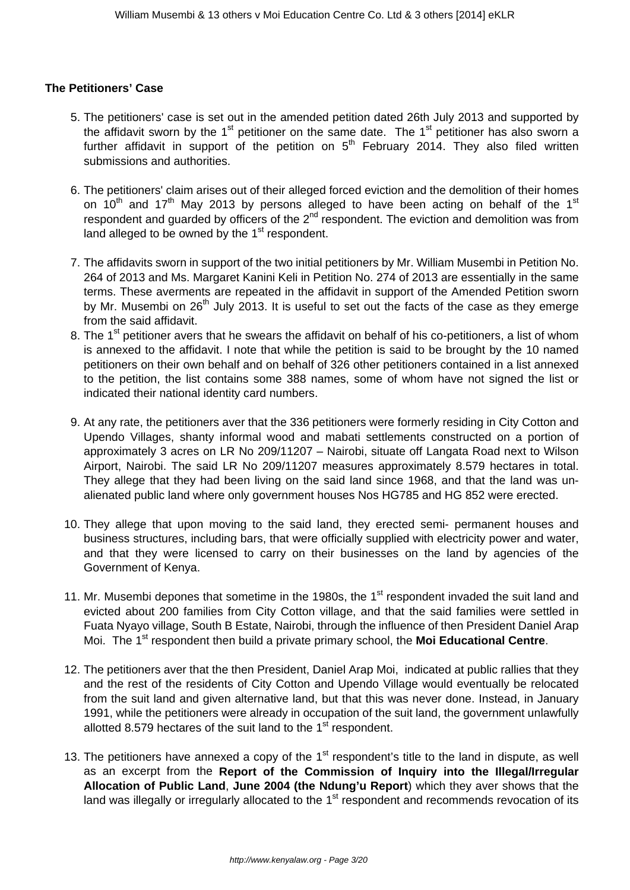#### **The Petitioners' Case**

- 5. The petitioners' case is set out in the amended petition dated 26th July 2013 and supported by the affidavit sworn by the  $1<sup>st</sup>$  petitioner on the same date. The  $1<sup>st</sup>$  petitioner has also sworn a further affidavit in support of the petition on  $5<sup>th</sup>$  February 2014. They also filed written submissions and authorities.
- 6. The petitioners' claim arises out of their alleged forced eviction and the demolition of their homes on  $10<sup>th</sup>$  and  $17<sup>th</sup>$  May 2013 by persons alleged to have been acting on behalf of the 1<sup>st</sup> respondent and guarded by officers of the  $2<sup>nd</sup>$  respondent. The eviction and demolition was from land alleged to be owned by the  $1<sup>st</sup>$  respondent.
- 7. The affidavits sworn in support of the two initial petitioners by Mr. William Musembi in Petition No. 264 of 2013 and Ms. Margaret Kanini Keli in Petition No. 274 of 2013 are essentially in the same terms. These averments are repeated in the affidavit in support of the Amended Petition sworn by Mr. Musembi on  $26<sup>th</sup>$  July 2013. It is useful to set out the facts of the case as they emerge from the said affidavit.
- 8. The 1<sup>st</sup> petitioner avers that he swears the affidavit on behalf of his co-petitioners, a list of whom is annexed to the affidavit. I note that while the petition is said to be brought by the 10 named petitioners on their own behalf and on behalf of 326 other petitioners contained in a list annexed to the petition, the list contains some 388 names, some of whom have not signed the list or indicated their national identity card numbers.
- 9. At any rate, the petitioners aver that the 336 petitioners were formerly residing in City Cotton and Upendo Villages, shanty informal wood and mabati settlements constructed on a portion of approximately 3 acres on LR No 209/11207 – Nairobi, situate off Langata Road next to Wilson Airport, Nairobi. The said LR No 209/11207 measures approximately 8.579 hectares in total. They allege that they had been living on the said land since 1968, and that the land was unalienated public land where only government houses Nos HG785 and HG 852 were erected.
- 10. They allege that upon moving to the said land, they erected semi- permanent houses and business structures, including bars, that were officially supplied with electricity power and water, and that they were licensed to carry on their businesses on the land by agencies of the Government of Kenya.
- 11. Mr. Musembi depones that sometime in the 1980s, the  $1<sup>st</sup>$  respondent invaded the suit land and evicted about 200 families from City Cotton village, and that the said families were settled in Fuata Nyayo village, South B Estate, Nairobi, through the influence of then President Daniel Arap Moi. The 1<sup>st</sup> respondent then build a private primary school, the **Moi Educational Centre**.
- 12. The petitioners aver that the then President, Daniel Arap Moi, indicated at public rallies that they and the rest of the residents of City Cotton and Upendo Village would eventually be relocated from the suit land and given alternative land, but that this was never done. Instead, in January 1991, while the petitioners were already in occupation of the suit land, the government unlawfully allotted 8.579 hectares of the suit land to the  $1<sup>st</sup>$  respondent.
- 13. The petitioners have annexed a copy of the  $1<sup>st</sup>$  respondent's title to the land in dispute, as well as an excerpt from the **Report of the Commission of Inquiry into the Illegal/Irregular Allocation of Public Land**, **June 2004 (the Ndung'u Report**) which they aver shows that the land was illegally or irregularly allocated to the  $1<sup>st</sup>$  respondent and recommends revocation of its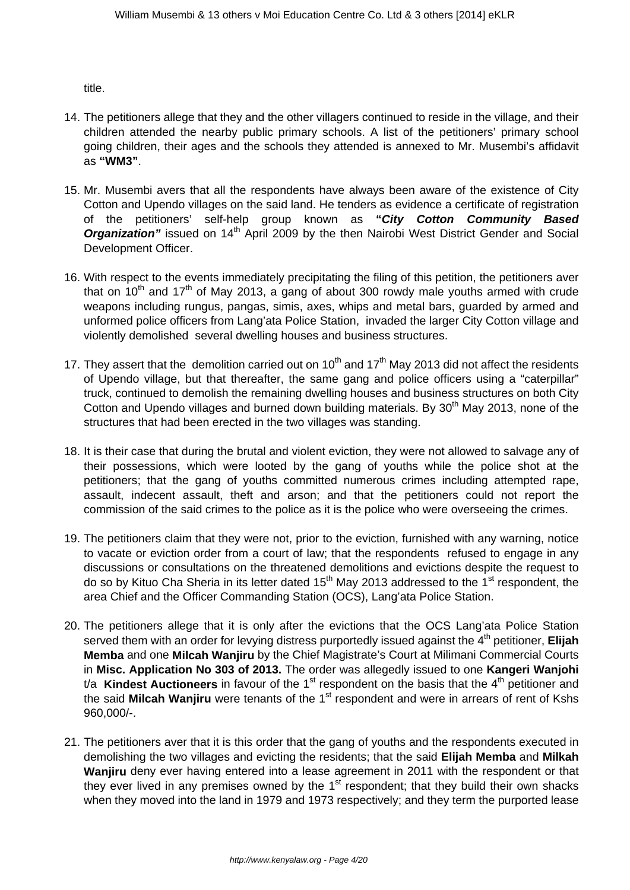title.

- 14. The petitioners allege that they and the other villagers continued to reside in the village, and their children attended the nearby public primary schools. A list of the petitioners' primary school going children, their ages and the schools they attended is annexed to Mr. Musembi's affidavit as **"WM3"**.
- 15. Mr. Musembi avers that all the respondents have always been aware of the existence of City Cotton and Upendo villages on the said land. He tenders as evidence a certificate of registration of the petitioners' self-help group known as **"City Cotton Community Based Organization**" issued on 14<sup>th</sup> April 2009 by the then Nairobi West District Gender and Social Development Officer.
- 16. With respect to the events immediately precipitating the filing of this petition, the petitioners aver that on  $10<sup>th</sup>$  and  $17<sup>th</sup>$  of May 2013, a gang of about 300 rowdy male youths armed with crude weapons including rungus, pangas, simis, axes, whips and metal bars, guarded by armed and unformed police officers from Lang'ata Police Station, invaded the larger City Cotton village and violently demolished several dwelling houses and business structures.
- 17. They assert that the demolition carried out on  $10<sup>th</sup>$  and 17<sup>th</sup> May 2013 did not affect the residents of Upendo village, but that thereafter, the same gang and police officers using a "caterpillar" truck, continued to demolish the remaining dwelling houses and business structures on both City Cotton and Upendo villages and burned down building materials. By 30<sup>th</sup> May 2013, none of the structures that had been erected in the two villages was standing.
- 18. It is their case that during the brutal and violent eviction, they were not allowed to salvage any of their possessions, which were looted by the gang of youths while the police shot at the petitioners; that the gang of youths committed numerous crimes including attempted rape, assault, indecent assault, theft and arson; and that the petitioners could not report the commission of the said crimes to the police as it is the police who were overseeing the crimes.
- 19. The petitioners claim that they were not, prior to the eviction, furnished with any warning, notice to vacate or eviction order from a court of law; that the respondents refused to engage in any discussions or consultations on the threatened demolitions and evictions despite the request to do so by Kituo Cha Sheria in its letter dated 15<sup>th</sup> May 2013 addressed to the 1<sup>st</sup> respondent, the area Chief and the Officer Commanding Station (OCS), Lang'ata Police Station.
- 20. The petitioners allege that it is only after the evictions that the OCS Lang'ata Police Station served them with an order for levying distress purportedly issued against the 4<sup>th</sup> petitioner, **Elijah Memba** and one **Milcah Wanjiru** by the Chief Magistrate's Court at Milimani Commercial Courts in **Misc. Application No 303 of 2013.** The order was allegedly issued to one **Kangeri Wanjohi** t/a **Kindest Auctioneers** in favour of the 1<sup>st</sup> respondent on the basis that the 4<sup>th</sup> petitioner and the said Milcah Wanjiru were tenants of the 1<sup>st</sup> respondent and were in arrears of rent of Kshs 960,000/-.
- 21. The petitioners aver that it is this order that the gang of youths and the respondents executed in demolishing the two villages and evicting the residents; that the said **Elijah Memba** and **Milkah Wanjiru** deny ever having entered into a lease agreement in 2011 with the respondent or that they ever lived in any premises owned by the  $1<sup>st</sup>$  respondent; that they build their own shacks when they moved into the land in 1979 and 1973 respectively; and they term the purported lease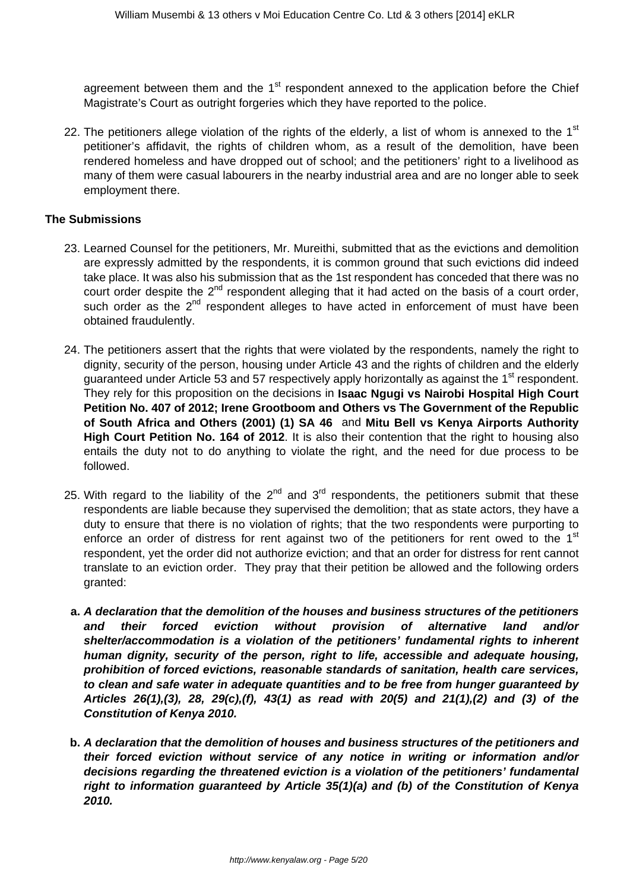agreement between them and the  $1<sup>st</sup>$  respondent annexed to the application before the Chief Magistrate's Court as outright forgeries which they have reported to the police.

22. The petitioners allege violation of the rights of the elderly, a list of whom is annexed to the  $1<sup>st</sup>$ petitioner's affidavit, the rights of children whom, as a result of the demolition, have been rendered homeless and have dropped out of school; and the petitioners' right to a livelihood as many of them were casual labourers in the nearby industrial area and are no longer able to seek employment there.

#### **The Submissions**

- 23. Learned Counsel for the petitioners, Mr. Mureithi, submitted that as the evictions and demolition are expressly admitted by the respondents, it is common ground that such evictions did indeed take place. It was also his submission that as the 1st respondent has conceded that there was no court order despite the  $2^{nd}$  respondent alleging that it had acted on the basis of a court order, such order as the  $2<sup>nd</sup>$  respondent alleges to have acted in enforcement of must have been obtained fraudulently.
- 24. The petitioners assert that the rights that were violated by the respondents, namely the right to dignity, security of the person, housing under Article 43 and the rights of children and the elderly guaranteed under Article 53 and 57 respectively apply horizontally as against the 1<sup>st</sup> respondent. They rely for this proposition on the decisions in **Isaac Ngugi vs Nairobi Hospital High Court Petition No. 407 of 2012; Irene Grootboom and Others vs The Government of the Republic of South Africa and Others (2001) (1) SA 46** and **Mitu Bell vs Kenya Airports Authority High Court Petition No. 164 of 2012**. It is also their contention that the right to housing also entails the duty not to do anything to violate the right, and the need for due process to be followed.
- 25. With regard to the liability of the  $2^{nd}$  and  $3^{rd}$  respondents, the petitioners submit that these respondents are liable because they supervised the demolition; that as state actors, they have a duty to ensure that there is no violation of rights; that the two respondents were purporting to enforce an order of distress for rent against two of the petitioners for rent owed to the  $1<sup>st</sup>$ respondent, yet the order did not authorize eviction; and that an order for distress for rent cannot translate to an eviction order. They pray that their petition be allowed and the following orders granted:
	- **a. A declaration that the demolition of the houses and business structures of the petitioners and their forced eviction without provision of alternative land and/or shelter/accommodation is a violation of the petitioners' fundamental rights to inherent human dignity, security of the person, right to life, accessible and adequate housing, prohibition of forced evictions, reasonable standards of sanitation, health care services, to clean and safe water in adequate quantities and to be free from hunger guaranteed by Articles 26(1),(3), 28, 29(c),(f), 43(1) as read with 20(5) and 21(1),(2) and (3) of the Constitution of Kenya 2010.**
- **b. A declaration that the demolition of houses and business structures of the petitioners and their forced eviction without service of any notice in writing or information and/or decisions regarding the threatened eviction is a violation of the petitioners' fundamental right to information guaranteed by Article 35(1)(a) and (b) of the Constitution of Kenya 2010.**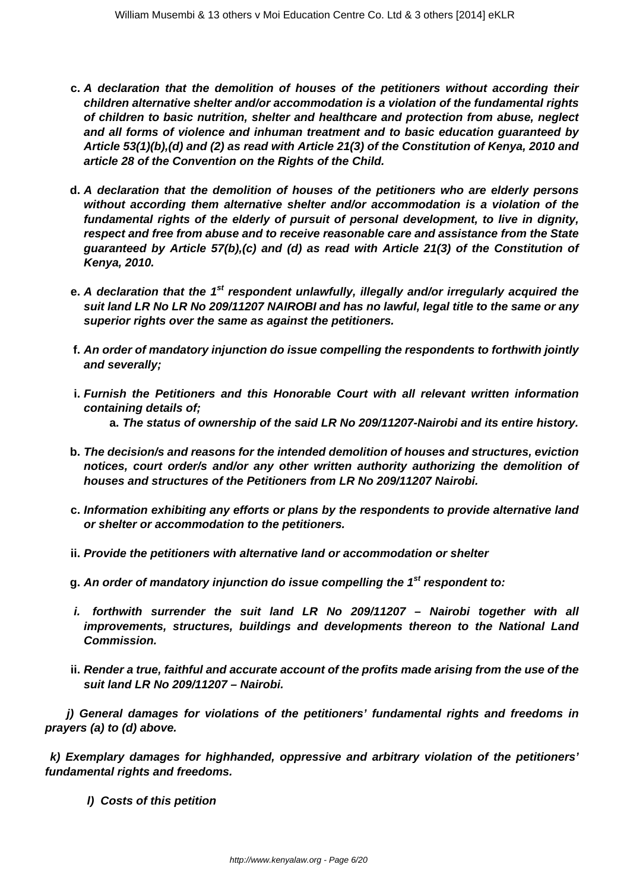- **c. A declaration that the demolition of houses of the petitioners without according their children alternative shelter and/or accommodation is a violation of the fundamental rights of children to basic nutrition, shelter and healthcare and protection from abuse, neglect and all forms of violence and inhuman treatment and to basic education guaranteed by Article 53(1)(b),(d) and (2) as read with Article 21(3) of the Constitution of Kenya, 2010 and article 28 of the Convention on the Rights of the Child.**
- **d. A declaration that the demolition of houses of the petitioners who are elderly persons without according them alternative shelter and/or accommodation is a violation of the fundamental rights of the elderly of pursuit of personal development, to live in dignity, respect and free from abuse and to receive reasonable care and assistance from the State guaranteed by Article 57(b),(c) and (d) as read with Article 21(3) of the Constitution of Kenya, 2010.**
- **e. A declaration that the 1st respondent unlawfully, illegally and/or irregularly acquired the suit land LR No LR No 209/11207 NAIROBI and has no lawful, legal title to the same or any superior rights over the same as against the petitioners.**
- **f. An order of mandatory injunction do issue compelling the respondents to forthwith jointly and severally;**
- **i. Furnish the Petitioners and this Honorable Court with all relevant written information containing details of; a. The status of ownership of the said LR No 209/11207-Nairobi and its entire history.**
- **b. The decision/s and reasons for the intended demolition of houses and structures, eviction notices, court order/s and/or any other written authority authorizing the demolition of houses and structures of the Petitioners from LR No 209/11207 Nairobi.**
- **c. Information exhibiting any efforts or plans by the respondents to provide alternative land or shelter or accommodation to the petitioners.**
- **ii. Provide the petitioners with alternative land or accommodation or shelter**
- **g. An order of mandatory injunction do issue compelling the 1st respondent to:**
- **i. forthwith surrender the suit land LR No 209/11207 Nairobi together with all improvements, structures, buildings and developments thereon to the National Land Commission.**
- **ii. Render a true, faithful and accurate account of the profits made arising from the use of the suit land LR No 209/11207 – Nairobi.**

 **j) General damages for violations of the petitioners' fundamental rights and freedoms in prayers (a) to (d) above.**

**k) Exemplary damages for highhanded, oppressive and arbitrary violation of the petitioners' fundamental rights and freedoms.**

**l) Costs of this petition**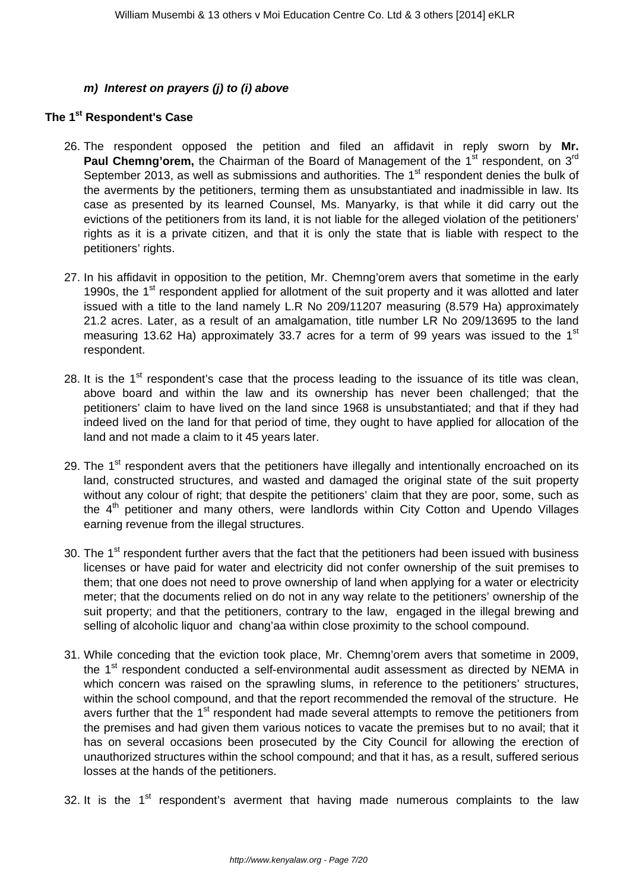#### **m) Interest on prayers (j) to (i) above**

# **The 1st Respondent's Case**

- 26. The respondent opposed the petition and filed an affidavit in reply sworn by **Mr. Paul Chemng'orem,** the Chairman of the Board of Management of the 1<sup>st</sup> respondent, on 3<sup>rd</sup> September 2013, as well as submissions and authorities. The  $1<sup>st</sup>$  respondent denies the bulk of the averments by the petitioners, terming them as unsubstantiated and inadmissible in law. Its case as presented by its learned Counsel, Ms. Manyarky, is that while it did carry out the evictions of the petitioners from its land, it is not liable for the alleged violation of the petitioners' rights as it is a private citizen, and that it is only the state that is liable with respect to the petitioners' rights.
- 27. In his affidavit in opposition to the petition, Mr. Chemng'orem avers that sometime in the early 1990s, the 1<sup>st</sup> respondent applied for allotment of the suit property and it was allotted and later issued with a title to the land namely L.R No 209/11207 measuring (8.579 Ha) approximately 21.2 acres. Later, as a result of an amalgamation, title number LR No 209/13695 to the land measuring 13.62 Ha) approximately 33.7 acres for a term of 99 years was issued to the 1<sup>st</sup> respondent.
- 28. It is the  $1<sup>st</sup>$  respondent's case that the process leading to the issuance of its title was clean, above board and within the law and its ownership has never been challenged; that the petitioners' claim to have lived on the land since 1968 is unsubstantiated; and that if they had indeed lived on the land for that period of time, they ought to have applied for allocation of the land and not made a claim to it 45 years later.
- 29. The  $1<sup>st</sup>$  respondent avers that the petitioners have illegally and intentionally encroached on its land, constructed structures, and wasted and damaged the original state of the suit property without any colour of right; that despite the petitioners' claim that they are poor, some, such as the  $4<sup>th</sup>$  petitioner and many others, were landlords within City Cotton and Upendo Villages earning revenue from the illegal structures.
- 30. The 1<sup>st</sup> respondent further avers that the fact that the petitioners had been issued with business licenses or have paid for water and electricity did not confer ownership of the suit premises to them; that one does not need to prove ownership of land when applying for a water or electricity meter; that the documents relied on do not in any way relate to the petitioners' ownership of the suit property; and that the petitioners, contrary to the law, engaged in the illegal brewing and selling of alcoholic liquor and chang'aa within close proximity to the school compound.
- 31. While conceding that the eviction took place, Mr. Chemng'orem avers that sometime in 2009, the 1<sup>st</sup> respondent conducted a self-environmental audit assessment as directed by NEMA in which concern was raised on the sprawling slums, in reference to the petitioners' structures, within the school compound, and that the report recommended the removal of the structure. He avers further that the 1<sup>st</sup> respondent had made several attempts to remove the petitioners from the premises and had given them various notices to vacate the premises but to no avail; that it has on several occasions been prosecuted by the City Council for allowing the erection of unauthorized structures within the school compound; and that it has, as a result, suffered serious losses at the hands of the petitioners.
- 32. It is the  $1<sup>st</sup>$  respondent's averment that having made numerous complaints to the law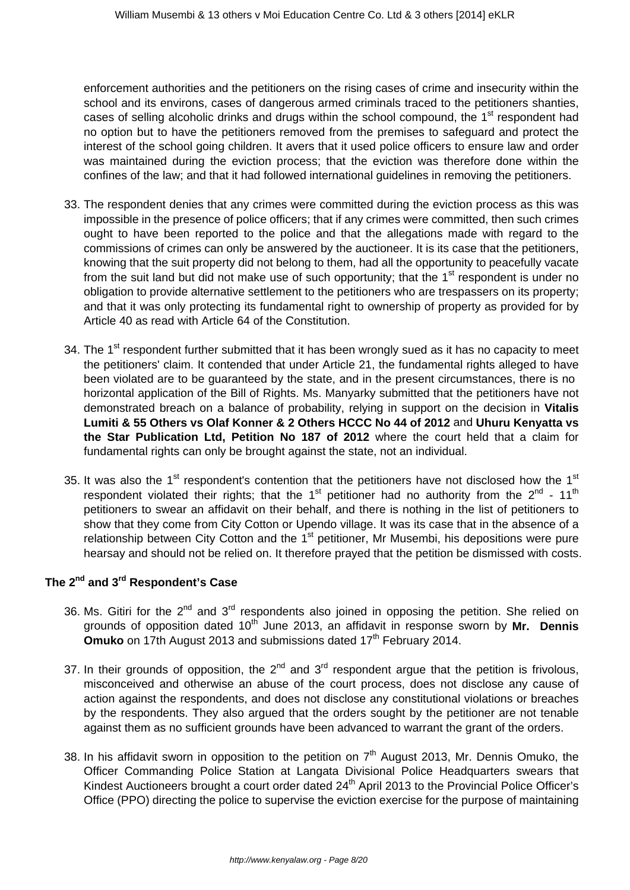enforcement authorities and the petitioners on the rising cases of crime and insecurity within the school and its environs, cases of dangerous armed criminals traced to the petitioners shanties, cases of selling alcoholic drinks and drugs within the school compound, the 1<sup>st</sup> respondent had no option but to have the petitioners removed from the premises to safeguard and protect the interest of the school going children. It avers that it used police officers to ensure law and order was maintained during the eviction process; that the eviction was therefore done within the confines of the law; and that it had followed international guidelines in removing the petitioners.

- 33. The respondent denies that any crimes were committed during the eviction process as this was impossible in the presence of police officers; that if any crimes were committed, then such crimes ought to have been reported to the police and that the allegations made with regard to the commissions of crimes can only be answered by the auctioneer. It is its case that the petitioners, knowing that the suit property did not belong to them, had all the opportunity to peacefully vacate from the suit land but did not make use of such opportunity; that the  $1<sup>st</sup>$  respondent is under no obligation to provide alternative settlement to the petitioners who are trespassers on its property; and that it was only protecting its fundamental right to ownership of property as provided for by Article 40 as read with Article 64 of the Constitution.
- 34. The 1<sup>st</sup> respondent further submitted that it has been wrongly sued as it has no capacity to meet the petitioners' claim. It contended that under Article 21, the fundamental rights alleged to have been violated are to be guaranteed by the state, and in the present circumstances, there is no horizontal application of the Bill of Rights. Ms. Manyarky submitted that the petitioners have not demonstrated breach on a balance of probability, relying in support on the decision in **Vitalis Lumiti & 55 Others vs Olaf Konner & 2 Others HCCC No 44 of 2012** and **Uhuru Kenyatta vs the Star Publication Ltd, Petition No 187 of 2012** where the court held that a claim for fundamental rights can only be brought against the state, not an individual.
- 35. It was also the  $1<sup>st</sup>$  respondent's contention that the petitioners have not disclosed how the  $1<sup>st</sup>$ respondent violated their rights; that the 1<sup>st</sup> petitioner had no authority from the 2<sup>nd</sup> - 11<sup>th</sup> petitioners to swear an affidavit on their behalf, and there is nothing in the list of petitioners to show that they come from City Cotton or Upendo village. It was its case that in the absence of a relationship between City Cotton and the  $1<sup>st</sup>$  petitioner, Mr Musembi, his depositions were pure hearsay and should not be relied on. It therefore prayed that the petition be dismissed with costs.

# **The 2nd and 3rd Respondent's Case**

- 36. Ms. Gitiri for the 2<sup>nd</sup> and 3<sup>rd</sup> respondents also joined in opposing the petition. She relied on grounds of opposition dated 10th June 2013, an affidavit in response sworn by **Mr. Dennis Omuko** on 17th August 2013 and submissions dated 17<sup>th</sup> February 2014.
- 37. In their grounds of opposition, the  $2^{nd}$  and  $3^{rd}$  respondent argue that the petition is frivolous, misconceived and otherwise an abuse of the court process, does not disclose any cause of action against the respondents, and does not disclose any constitutional violations or breaches by the respondents. They also argued that the orders sought by the petitioner are not tenable against them as no sufficient grounds have been advanced to warrant the grant of the orders.
- 38. In his affidavit sworn in opposition to the petition on  $7<sup>th</sup>$  August 2013, Mr. Dennis Omuko, the Officer Commanding Police Station at Langata Divisional Police Headquarters swears that Kindest Auctioneers brought a court order dated 24<sup>th</sup> April 2013 to the Provincial Police Officer's Office (PPO) directing the police to supervise the eviction exercise for the purpose of maintaining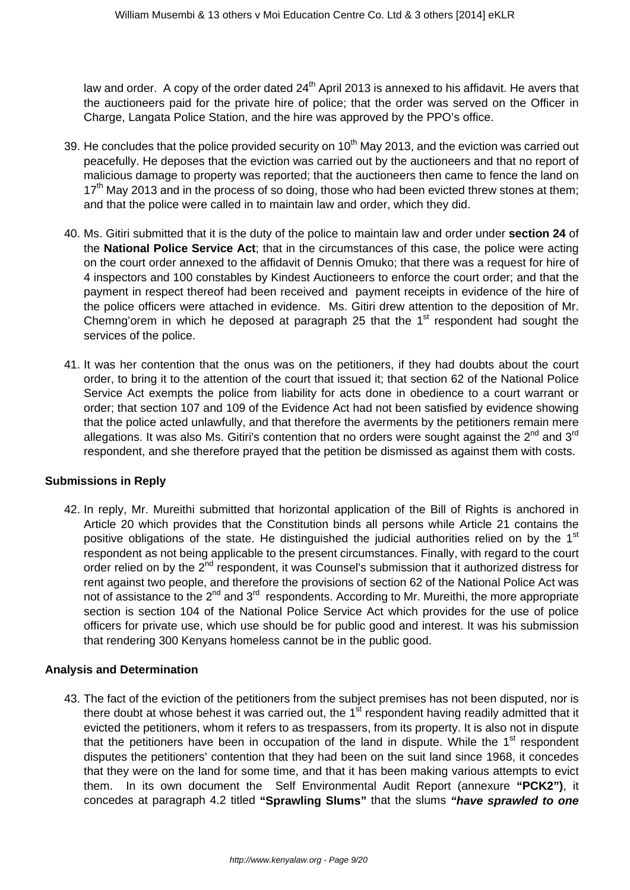law and order. A copy of the order dated  $24<sup>th</sup>$  April 2013 is annexed to his affidavit. He avers that the auctioneers paid for the private hire of police; that the order was served on the Officer in Charge, Langata Police Station, and the hire was approved by the PPO's office.

- 39. He concludes that the police provided security on  $10<sup>th</sup>$  May 2013, and the eviction was carried out peacefully. He deposes that the eviction was carried out by the auctioneers and that no report of malicious damage to property was reported; that the auctioneers then came to fence the land on  $17<sup>th</sup>$  Mav 2013 and in the process of so doing, those who had been evicted threw stones at them; and that the police were called in to maintain law and order, which they did.
- 40. Ms. Gitiri submitted that it is the duty of the police to maintain law and order under **section 24** of the **National Police Service Act**; that in the circumstances of this case, the police were acting on the court order annexed to the affidavit of Dennis Omuko; that there was a request for hire of 4 inspectors and 100 constables by Kindest Auctioneers to enforce the court order; and that the payment in respect thereof had been received and payment receipts in evidence of the hire of the police officers were attached in evidence. Ms. Gitiri drew attention to the deposition of Mr. Chemng'orem in which he deposed at paragraph 25 that the  $1<sup>st</sup>$  respondent had sought the services of the police.
- 41. It was her contention that the onus was on the petitioners, if they had doubts about the court order, to bring it to the attention of the court that issued it; that section 62 of the National Police Service Act exempts the police from liability for acts done in obedience to a court warrant or order; that section 107 and 109 of the Evidence Act had not been satisfied by evidence showing that the police acted unlawfully, and that therefore the averments by the petitioners remain mere allegations. It was also Ms. Gitiri's contention that no orders were sought against the  $2^{nd}$  and  $3^{rd}$ respondent, and she therefore prayed that the petition be dismissed as against them with costs.

# **Submissions in Reply**

42. In reply, Mr. Mureithi submitted that horizontal application of the Bill of Rights is anchored in Article 20 which provides that the Constitution binds all persons while Article 21 contains the positive obligations of the state. He distinguished the judicial authorities relied on by the 1<sup>st</sup> respondent as not being applicable to the present circumstances. Finally, with regard to the court order relied on by the 2<sup>nd</sup> respondent, it was Counsel's submission that it authorized distress for rent against two people, and therefore the provisions of section 62 of the National Police Act was not of assistance to the  $2^{nd}$  and  $3^{rd}$  respondents. According to Mr. Mureithi, the more appropriate section is section 104 of the National Police Service Act which provides for the use of police officers for private use, which use should be for public good and interest. It was his submission that rendering 300 Kenyans homeless cannot be in the public good.

#### **Analysis and Determination**

43. The fact of the eviction of the petitioners from the subject premises has not been disputed, nor is there doubt at whose behest it was carried out, the  $1<sup>st</sup>$  respondent having readily admitted that it evicted the petitioners, whom it refers to as trespassers, from its property. It is also not in dispute that the petitioners have been in occupation of the land in dispute. While the  $1<sup>st</sup>$  respondent disputes the petitioners' contention that they had been on the suit land since 1968, it concedes that they were on the land for some time, and that it has been making various attempts to evict them. In its own document the Self Environmental Audit Report (annexure **"PCK2")**, it concedes at paragraph 4.2 titled **"Sprawling Slums"** that the slums **"have sprawled to one**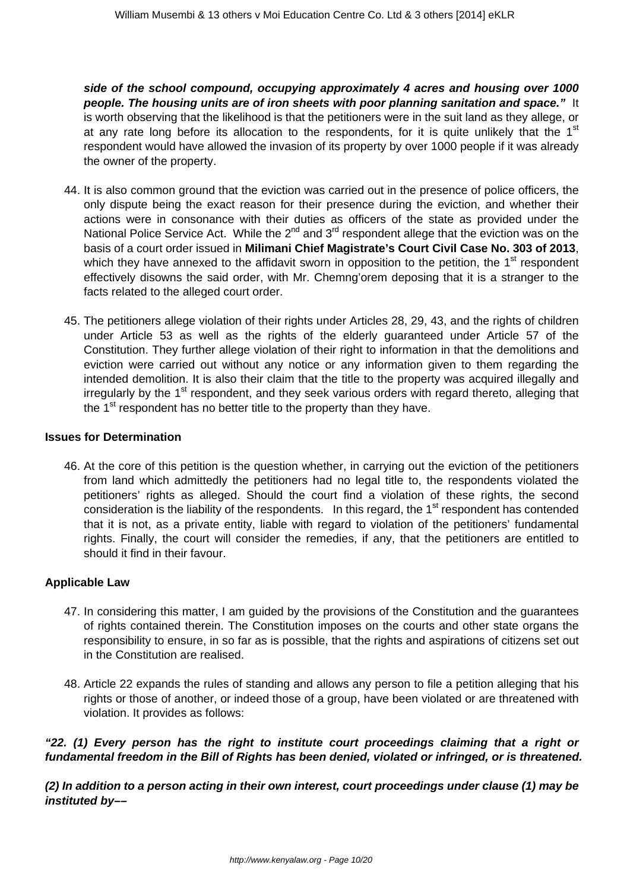**side of the school compound, occupying approximately 4 acres and housing over 1000 people. The housing units are of iron sheets with poor planning sanitation and space."** It is worth observing that the likelihood is that the petitioners were in the suit land as they allege, or at any rate long before its allocation to the respondents, for it is quite unlikely that the  $1<sup>st</sup>$ respondent would have allowed the invasion of its property by over 1000 people if it was already the owner of the property.

- 44. It is also common ground that the eviction was carried out in the presence of police officers, the only dispute being the exact reason for their presence during the eviction, and whether their actions were in consonance with their duties as officers of the state as provided under the National Police Service Act. While the  $2^{nd}$  and  $3^{rd}$  respondent allege that the eviction was on the basis of a court order issued in **Milimani Chief Magistrate's Court Civil Case No. 303 of 2013**, which they have annexed to the affidavit sworn in opposition to the petition, the  $1<sup>st</sup>$  respondent effectively disowns the said order, with Mr. Chemng'orem deposing that it is a stranger to the facts related to the alleged court order.
- 45. The petitioners allege violation of their rights under Articles 28, 29, 43, and the rights of children under Article 53 as well as the rights of the elderly guaranteed under Article 57 of the Constitution. They further allege violation of their right to information in that the demolitions and eviction were carried out without any notice or any information given to them regarding the intended demolition. It is also their claim that the title to the property was acquired illegally and irregularly by the 1<sup>st</sup> respondent, and they seek various orders with regard thereto, alleging that the  $1<sup>st</sup>$  respondent has no better title to the property than they have.

#### **Issues for Determination**

46. At the core of this petition is the question whether, in carrying out the eviction of the petitioners from land which admittedly the petitioners had no legal title to, the respondents violated the petitioners' rights as alleged. Should the court find a violation of these rights, the second consideration is the liability of the respondents. In this regard, the 1<sup>st</sup> respondent has contended that it is not, as a private entity, liable with regard to violation of the petitioners' fundamental rights. Finally, the court will consider the remedies, if any, that the petitioners are entitled to should it find in their favour.

#### **Applicable Law**

- 47. In considering this matter, I am guided by the provisions of the Constitution and the guarantees of rights contained therein. The Constitution imposes on the courts and other state organs the responsibility to ensure, in so far as is possible, that the rights and aspirations of citizens set out in the Constitution are realised.
- 48. Article 22 expands the rules of standing and allows any person to file a petition alleging that his rights or those of another, or indeed those of a group, have been violated or are threatened with violation. It provides as follows:

**"22. (1) Every person has the right to institute court proceedings claiming that a right or fundamental freedom in the Bill of Rights has been denied, violated or infringed, or is threatened.**

**(2) In addition to a person acting in their own interest, court proceedings under clause (1) may be instituted by––**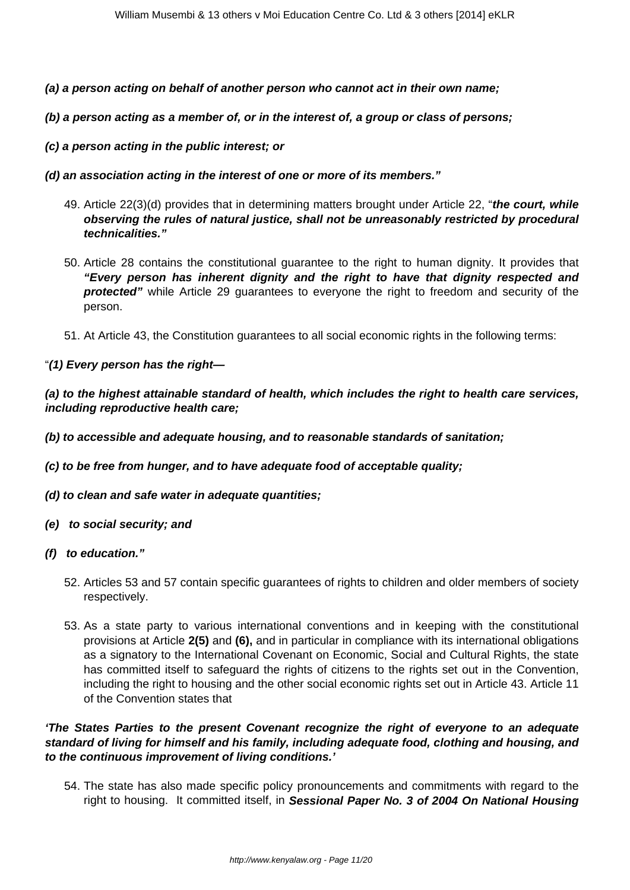- **(a) a person acting on behalf of another person who cannot act in their own name;**
- **(b) a person acting as a member of, or in the interest of, a group or class of persons;**
- **(c) a person acting in the public interest; or**
- **(d) an association acting in the interest of one or more of its members."**
	- 49. Article 22(3)(d) provides that in determining matters brought under Article 22, "**the court, while observing the rules of natural justice, shall not be unreasonably restricted by procedural technicalities."**
	- 50. Article 28 contains the constitutional guarantee to the right to human dignity. It provides that **"Every person has inherent dignity and the right to have that dignity respected and protected"** while Article 29 guarantees to everyone the right to freedom and security of the person.
	- 51. At Article 43, the Constitution guarantees to all social economic rights in the following terms:
- "**(1) Every person has the right—**

**(a) to the highest attainable standard of health, which includes the right to health care services, including reproductive health care;**

- **(b) to accessible and adequate housing, and to reasonable standards of sanitation;**
- **(c) to be free from hunger, and to have adequate food of acceptable quality;**
- **(d) to clean and safe water in adequate quantities;**
- **(e) to social security; and**
- **(f) to education."**
	- 52. Articles 53 and 57 contain specific guarantees of rights to children and older members of society respectively.
	- 53. As a state party to various international conventions and in keeping with the constitutional provisions at Article **2(5)** and **(6),** and in particular in compliance with its international obligations as a signatory to the International Covenant on Economic, Social and Cultural Rights, the state has committed itself to safeguard the rights of citizens to the rights set out in the Convention, including the right to housing and the other social economic rights set out in Article 43. Article 11 of the Convention states that

#### **'The States Parties to the present Covenant recognize the right of everyone to an adequate standard of living for himself and his family, including adequate food, clothing and housing, and to the continuous improvement of living conditions.'**

54. The state has also made specific policy pronouncements and commitments with regard to the right to housing. It committed itself, in **Sessional Paper No. 3 of 2004 On National Housing**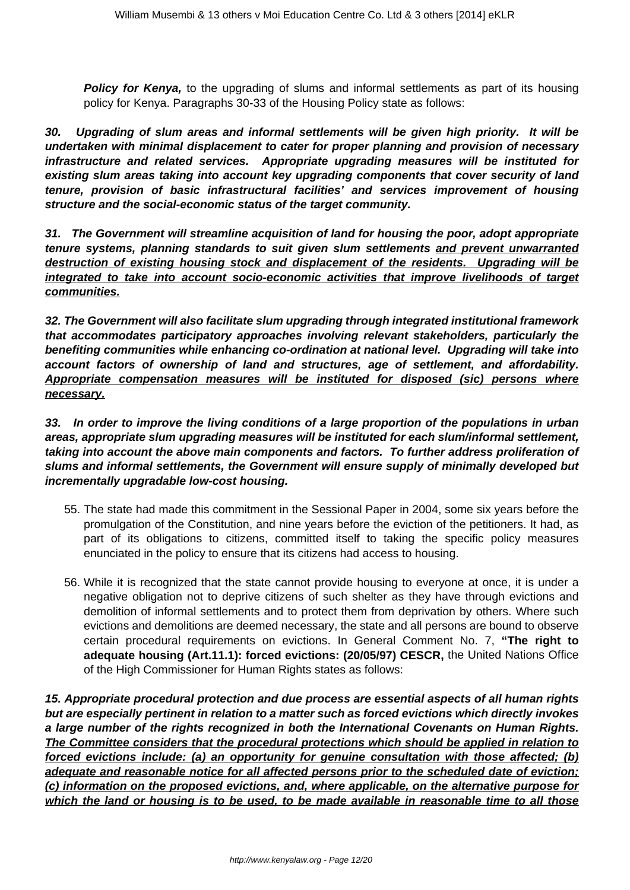**Policy for Kenya,** to the upgrading of slums and informal settlements as part of its housing policy for Kenya. Paragraphs 30-33 of the Housing Policy state as follows:

**30. Upgrading of slum areas and informal settlements will be given high priority. It will be undertaken with minimal displacement to cater for proper planning and provision of necessary infrastructure and related services. Appropriate upgrading measures will be instituted for existing slum areas taking into account key upgrading components that cover security of land tenure, provision of basic infrastructural facilities' and services improvement of housing structure and the social-economic status of the target community.**

**31. The Government will streamline acquisition of land for housing the poor, adopt appropriate tenure systems, planning standards to suit given slum settlements and prevent unwarranted destruction of existing housing stock and displacement of the residents. Upgrading will be integrated to take into account socio-economic activities that improve livelihoods of target communities.**

**32. The Government will also facilitate slum upgrading through integrated institutional framework that accommodates participatory approaches involving relevant stakeholders, particularly the benefiting communities while enhancing co-ordination at national level. Upgrading will take into account factors of ownership of land and structures, age of settlement, and affordability. Appropriate compensation measures will be instituted for disposed (sic) persons where necessary.**

**33. In order to improve the living conditions of a large proportion of the populations in urban areas, appropriate slum upgrading measures will be instituted for each slum/informal settlement, taking into account the above main components and factors. To further address proliferation of slums and informal settlements, the Government will ensure supply of minimally developed but incrementally upgradable low-cost housing.**

- 55. The state had made this commitment in the Sessional Paper in 2004, some six years before the promulgation of the Constitution, and nine years before the eviction of the petitioners. It had, as part of its obligations to citizens, committed itself to taking the specific policy measures enunciated in the policy to ensure that its citizens had access to housing.
- 56. While it is recognized that the state cannot provide housing to everyone at once, it is under a negative obligation not to deprive citizens of such shelter as they have through evictions and demolition of informal settlements and to protect them from deprivation by others. Where such evictions and demolitions are deemed necessary, the state and all persons are bound to observe certain procedural requirements on evictions. In General Comment No. 7, **"The right to adequate housing (Art.11.1): forced evictions: (20/05/97) CESCR,** the United Nations Office of the High Commissioner for Human Rights states as follows:

**15. Appropriate procedural protection and due process are essential aspects of all human rights but are especially pertinent in relation to a matter such as forced evictions which directly invokes a large number of the rights recognized in both the International Covenants on Human Rights. The Committee considers that the procedural protections which should be applied in relation to forced evictions include: (a) an opportunity for genuine consultation with those affected; (b) adequate and reasonable notice for all affected persons prior to the scheduled date of eviction; (c) information on the proposed evictions, and, where applicable, on the alternative purpose for which the land or housing is to be used, to be made available in reasonable time to all those**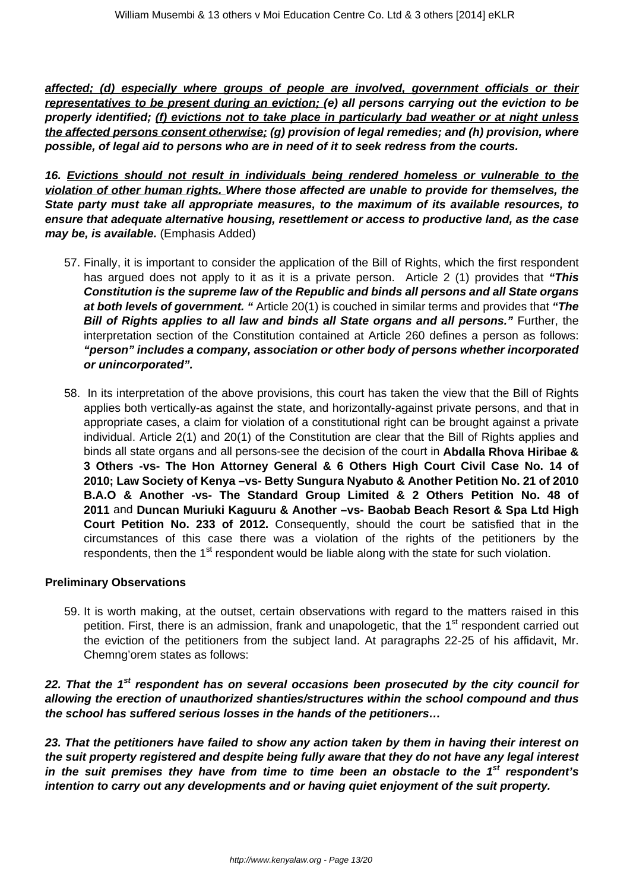**affected; (d) especially where groups of people are involved, government officials or their representatives to be present during an eviction; (e) all persons carrying out the eviction to be properly identified; (f) evictions not to take place in particularly bad weather or at night unless the affected persons consent otherwise; (g) provision of legal remedies; and (h) provision, where possible, of legal aid to persons who are in need of it to seek redress from the courts.** 

**16. Evictions should not result in individuals being rendered homeless or vulnerable to the violation of other human rights. Where those affected are unable to provide for themselves, the State party must take all appropriate measures, to the maximum of its available resources, to ensure that adequate alternative housing, resettlement or access to productive land, as the case may be, is available.** (Emphasis Added)

- 57. Finally, it is important to consider the application of the Bill of Rights, which the first respondent has argued does not apply to it as it is a private person. Article 2 (1) provides that **"This Constitution is the supreme law of the Republic and binds all persons and all State organs at both levels of government. "** Article 20(1) is couched in similar terms and provides that **"The Bill of Rights applies to all law and binds all State organs and all persons."** Further, the interpretation section of the Constitution contained at Article 260 defines a person as follows: **"person" includes a company, association or other body of persons whether incorporated or unincorporated".**
- 58. In its interpretation of the above provisions, this court has taken the view that the Bill of Rights applies both vertically-as against the state, and horizontally-against private persons, and that in appropriate cases, a claim for violation of a constitutional right can be brought against a private individual. Article 2(1) and 20(1) of the Constitution are clear that the Bill of Rights applies and binds all state organs and all persons-see the decision of the court in **Abdalla Rhova Hiribae & 3 Others -vs- The Hon Attorney General & 6 Others High Court Civil Case No. 14 of 2010; Law Society of Kenya –vs- Betty Sungura Nyabuto & Another Petition No. 21 of 2010 B.A.O & Another -vs- The Standard Group Limited & 2 Others Petition No. 48 of 2011** and **Duncan Muriuki Kaguuru & Another –vs- Baobab Beach Resort & Spa Ltd High Court Petition No. 233 of 2012.** Consequently, should the court be satisfied that in the circumstances of this case there was a violation of the rights of the petitioners by the respondents, then the 1<sup>st</sup> respondent would be liable along with the state for such violation.

#### **Preliminary Observations**

59. It is worth making, at the outset, certain observations with regard to the matters raised in this petition. First, there is an admission, frank and unapologetic, that the 1<sup>st</sup> respondent carried out the eviction of the petitioners from the subject land. At paragraphs 22-25 of his affidavit, Mr. Chemng'orem states as follows:

#### **22. That the 1st respondent has on several occasions been prosecuted by the city council for allowing the erection of unauthorized shanties/structures within the school compound and thus the school has suffered serious losses in the hands of the petitioners…**

**23. That the petitioners have failed to show any action taken by them in having their interest on the suit property registered and despite being fully aware that they do not have any legal interest in the suit premises they have from time to time been an obstacle to the 1st respondent's intention to carry out any developments and or having quiet enjoyment of the suit property.**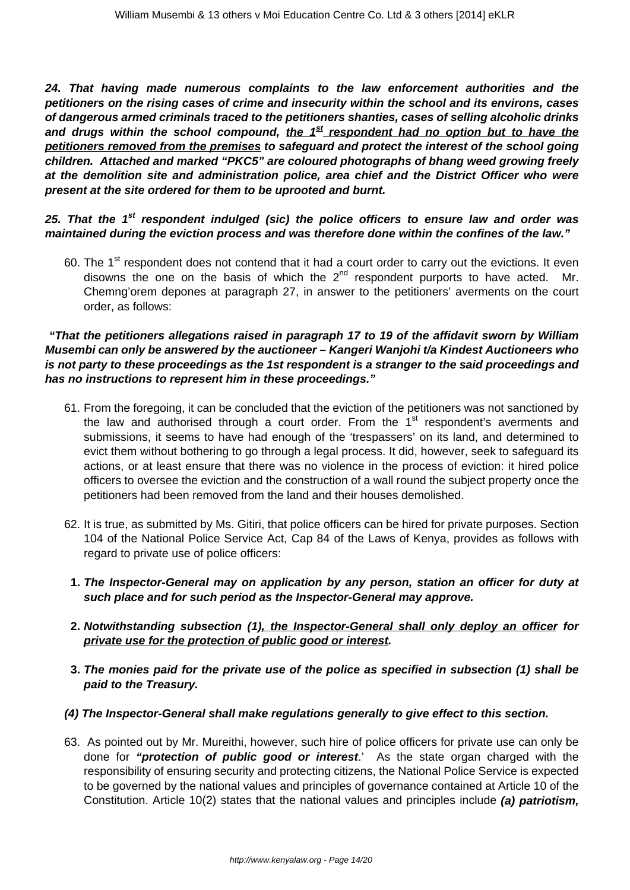**24. That having made numerous complaints to the law enforcement authorities and the petitioners on the rising cases of crime and insecurity within the school and its environs, cases of dangerous armed criminals traced to the petitioners shanties, cases of selling alcoholic drinks and drugs within the school compound, the 1st respondent had no option but to have the petitioners removed from the premises to safeguard and protect the interest of the school going children. Attached and marked "PKC5" are coloured photographs of bhang weed growing freely at the demolition site and administration police, area chief and the District Officer who were present at the site ordered for them to be uprooted and burnt.**

## **25. That the 1st respondent indulged (sic) the police officers to ensure law and order was maintained during the eviction process and was therefore done within the confines of the law."**

60. The 1<sup>st</sup> respondent does not contend that it had a court order to carry out the evictions. It even disowns the one on the basis of which the  $2<sup>nd</sup>$  respondent purports to have acted. Mr. Chemng'orem depones at paragraph 27, in answer to the petitioners' averments on the court order, as follows:

#### **"That the petitioners allegations raised in paragraph 17 to 19 of the affidavit sworn by William Musembi can only be answered by the auctioneer – Kangeri Wanjohi t/a Kindest Auctioneers who is not party to these proceedings as the 1st respondent is a stranger to the said proceedings and has no instructions to represent him in these proceedings."**

- 61. From the foregoing, it can be concluded that the eviction of the petitioners was not sanctioned by the law and authorised through a court order. From the  $1<sup>st</sup>$  respondent's averments and submissions, it seems to have had enough of the 'trespassers' on its land, and determined to evict them without bothering to go through a legal process. It did, however, seek to safeguard its actions, or at least ensure that there was no violence in the process of eviction: it hired police officers to oversee the eviction and the construction of a wall round the subject property once the petitioners had been removed from the land and their houses demolished.
- 62. It is true, as submitted by Ms. Gitiri, that police officers can be hired for private purposes. Section 104 of the National Police Service Act, Cap 84 of the Laws of Kenya, provides as follows with regard to private use of police officers:
	- **1. The Inspector-General may on application by any person, station an officer for duty at such place and for such period as the Inspector-General may approve.**
	- **2. Notwithstanding subsection (1), the Inspector-General shall only deploy an officer for private use for the protection of public good or interest.**
- **3. The monies paid for the private use of the police as specified in subsection (1) shall be paid to the Treasury.**
- **(4) The Inspector-General shall make regulations generally to give effect to this section.**
- 63. As pointed out by Mr. Mureithi, however, such hire of police officers for private use can only be done for **"protection of public good or interest**.' As the state organ charged with the responsibility of ensuring security and protecting citizens, the National Police Service is expected to be governed by the national values and principles of governance contained at Article 10 of the Constitution. Article 10(2) states that the national values and principles include **(a) patriotism,**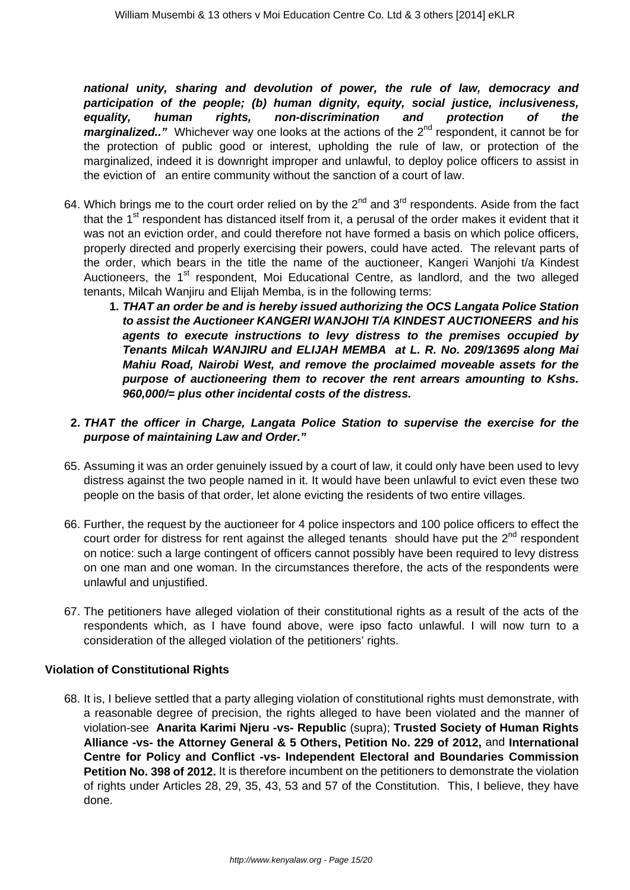**national unity, sharing and devolution of power, the rule of law, democracy and participation of the people; (b) human dignity, equity, social justice, inclusiveness, equality, human rights, non-discrimination and protection of the marginalized.."** Whichever way one looks at the actions of the 2<sup>nd</sup> respondent, it cannot be for the protection of public good or interest, upholding the rule of law, or protection of the marginalized, indeed it is downright improper and unlawful, to deploy police officers to assist in the eviction of an entire community without the sanction of a court of law.

- 64. Which brings me to the court order relied on by the  $2^{nd}$  and  $3^{rd}$  respondents. Aside from the fact that the 1<sup>st</sup> respondent has distanced itself from it, a perusal of the order makes it evident that it was not an eviction order, and could therefore not have formed a basis on which police officers, properly directed and properly exercising their powers, could have acted. The relevant parts of the order, which bears in the title the name of the auctioneer, Kangeri Wanjohi t/a Kindest Auctioneers, the 1<sup>st</sup> respondent, Moi Educational Centre, as landlord, and the two alleged tenants, Milcah Wanjiru and Elijah Memba, is in the following terms:
	- **1. THAT an order be and is hereby issued authorizing the OCS Langata Police Station to assist the Auctioneer KANGERI WANJOHI T/A KINDEST AUCTIONEERS and his agents to execute instructions to levy distress to the premises occupied by Tenants Milcah WANJIRU and ELIJAH MEMBA at L. R. No. 209/13695 along Mai Mahiu Road, Nairobi West, and remove the proclaimed moveable assets for the purpose of auctioneering them to recover the rent arrears amounting to Kshs. 960,000/= plus other incidental costs of the distress.**

## **2. THAT the officer in Charge, Langata Police Station to supervise the exercise for the purpose of maintaining Law and Order."**

- 65. Assuming it was an order genuinely issued by a court of law, it could only have been used to levy distress against the two people named in it. It would have been unlawful to evict even these two people on the basis of that order, let alone evicting the residents of two entire villages.
- 66. Further, the request by the auctioneer for 4 police inspectors and 100 police officers to effect the court order for distress for rent against the alleged tenants should have put the  $2^{nd}$  respondent on notice: such a large contingent of officers cannot possibly have been required to levy distress on one man and one woman. In the circumstances therefore, the acts of the respondents were unlawful and unjustified.
- 67. The petitioners have alleged violation of their constitutional rights as a result of the acts of the respondents which, as I have found above, were ipso facto unlawful. I will now turn to a consideration of the alleged violation of the petitioners' rights.

#### **Violation of Constitutional Rights**

68. It is, I believe settled that a party alleging violation of constitutional rights must demonstrate, with a reasonable degree of precision, the rights alleged to have been violated and the manner of violation-see **Anarita Karimi Njeru -vs- Republic** (supra); **Trusted Society of Human Rights Alliance -vs- the Attorney General & 5 Others, Petition No. 229 of 2012,** and **International Centre for Policy and Conflict -vs- Independent Electoral and Boundaries Commission Petition No. 398 of 2012.** It is therefore incumbent on the petitioners to demonstrate the violation of rights under Articles 28, 29, 35, 43, 53 and 57 of the Constitution. This, I believe, they have done.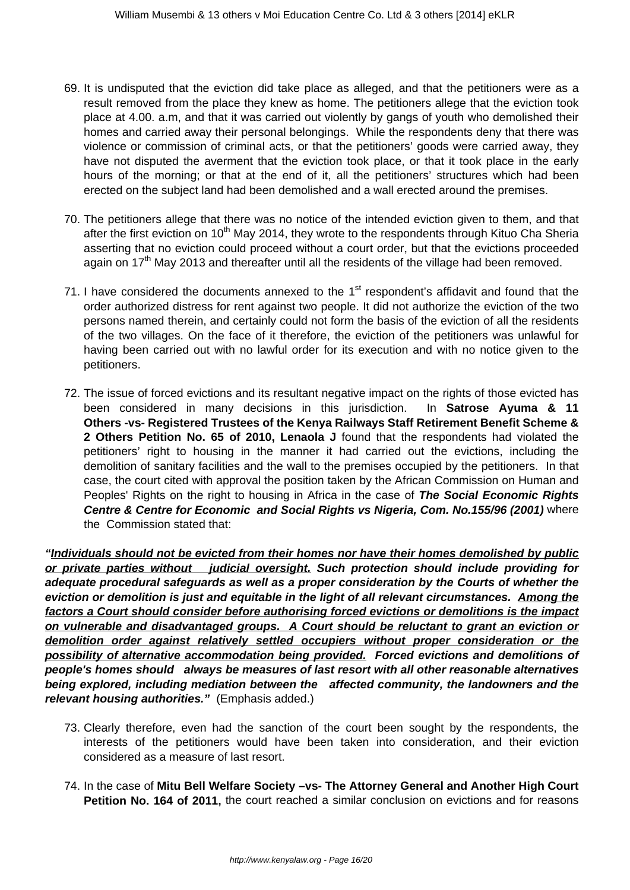- 69. It is undisputed that the eviction did take place as alleged, and that the petitioners were as a result removed from the place they knew as home. The petitioners allege that the eviction took place at 4.00. a.m, and that it was carried out violently by gangs of youth who demolished their homes and carried away their personal belongings. While the respondents deny that there was violence or commission of criminal acts, or that the petitioners' goods were carried away, they have not disputed the averment that the eviction took place, or that it took place in the early hours of the morning; or that at the end of it, all the petitioners' structures which had been erected on the subject land had been demolished and a wall erected around the premises.
- 70. The petitioners allege that there was no notice of the intended eviction given to them, and that after the first eviction on 10<sup>th</sup> May 2014, they wrote to the respondents through Kituo Cha Sheria asserting that no eviction could proceed without a court order, but that the evictions proceeded again on  $17<sup>th</sup>$  May 2013 and thereafter until all the residents of the village had been removed.
- 71. I have considered the documents annexed to the  $1<sup>st</sup>$  respondent's affidavit and found that the order authorized distress for rent against two people. It did not authorize the eviction of the two persons named therein, and certainly could not form the basis of the eviction of all the residents of the two villages. On the face of it therefore, the eviction of the petitioners was unlawful for having been carried out with no lawful order for its execution and with no notice given to the petitioners.
- 72. The issue of forced evictions and its resultant negative impact on the rights of those evicted has been considered in many decisions in this jurisdiction. In **Satrose Ayuma & 11 Others -vs- Registered Trustees of the Kenya Railways Staff Retirement Benefit Scheme & 2 Others Petition No. 65 of 2010, Lenaola J** found that the respondents had violated the petitioners' right to housing in the manner it had carried out the evictions, including the demolition of sanitary facilities and the wall to the premises occupied by the petitioners. In that case, the court cited with approval the position taken by the African Commission on Human and Peoples' Rights on the right to housing in Africa in the case of **The Social Economic Rights Centre & Centre for Economic and Social Rights vs Nigeria, Com. No.155/96 (2001)** where the Commission stated that:

**"Individuals should not be evicted from their homes nor have their homes demolished by public or private parties without judicial oversight. Such protection should include providing for adequate procedural safeguards as well as a proper consideration by the Courts of whether the eviction or demolition is just and equitable in the light of all relevant circumstances. Among the factors a Court should consider before authorising forced evictions or demolitions is the impact on vulnerable and disadvantaged groups. A Court should be reluctant to grant an eviction or demolition order against relatively settled occupiers without proper consideration or the possibility of alternative accommodation being provided. Forced evictions and demolitions of people's homes should always be measures of last resort with all other reasonable alternatives being explored, including mediation between the affected community, the landowners and the relevant housing authorities."** (Emphasis added.)

- 73. Clearly therefore, even had the sanction of the court been sought by the respondents, the interests of the petitioners would have been taken into consideration, and their eviction considered as a measure of last resort.
- 74. In the case of **Mitu Bell Welfare Society –vs- The Attorney General and Another High Court Petition No. 164 of 2011,** the court reached a similar conclusion on evictions and for reasons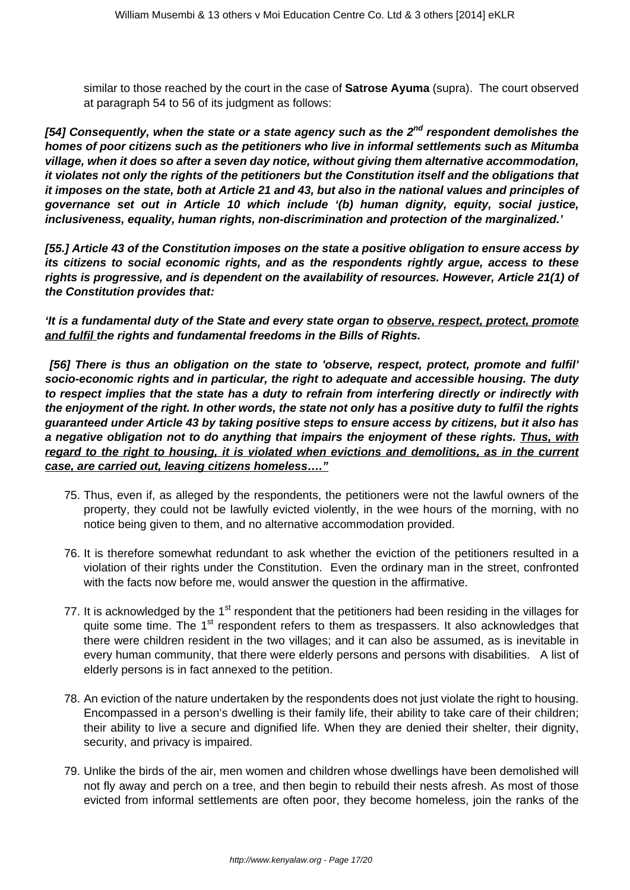similar to those reached by the court in the case of **Satrose Ayuma** (supra). The court observed at paragraph 54 to 56 of its judgment as follows:

**[54] Consequently, when the state or a state agency such as the 2nd respondent demolishes the homes of poor citizens such as the petitioners who live in informal settlements such as Mitumba village, when it does so after a seven day notice, without giving them alternative accommodation, it violates not only the rights of the petitioners but the Constitution itself and the obligations that it imposes on the state, both at Article 21 and 43, but also in the national values and principles of governance set out in Article 10 which include '(b) human dignity, equity, social justice, inclusiveness, equality, human rights, non-discrimination and protection of the marginalized.'**

**[55.] Article 43 of the Constitution imposes on the state a positive obligation to ensure access by its citizens to social economic rights, and as the respondents rightly argue, access to these rights is progressive, and is dependent on the availability of resources. However, Article 21(1) of the Constitution provides that:**

**'It is a fundamental duty of the State and every state organ to observe, respect, protect, promote and fulfil the rights and fundamental freedoms in the Bills of Rights.**

**[56] There is thus an obligation on the state to 'observe, respect, protect, promote and fulfil' socio-economic rights and in particular, the right to adequate and accessible housing. The duty to respect implies that the state has a duty to refrain from interfering directly or indirectly with the enjoyment of the right. In other words, the state not only has a positive duty to fulfil the rights guaranteed under Article 43 by taking positive steps to ensure access by citizens, but it also has a negative obligation not to do anything that impairs the enjoyment of these rights. Thus, with regard to the right to housing, it is violated when evictions and demolitions, as in the current case, are carried out, leaving citizens homeless…."**

- 75. Thus, even if, as alleged by the respondents, the petitioners were not the lawful owners of the property, they could not be lawfully evicted violently, in the wee hours of the morning, with no notice being given to them, and no alternative accommodation provided.
- 76. It is therefore somewhat redundant to ask whether the eviction of the petitioners resulted in a violation of their rights under the Constitution. Even the ordinary man in the street, confronted with the facts now before me, would answer the question in the affirmative.
- 77. It is acknowledged by the  $1<sup>st</sup>$  respondent that the petitioners had been residing in the villages for quite some time. The 1<sup>st</sup> respondent refers to them as trespassers. It also acknowledges that there were children resident in the two villages; and it can also be assumed, as is inevitable in every human community, that there were elderly persons and persons with disabilities. A list of elderly persons is in fact annexed to the petition.
- 78. An eviction of the nature undertaken by the respondents does not just violate the right to housing. Encompassed in a person's dwelling is their family life, their ability to take care of their children; their ability to live a secure and dignified life. When they are denied their shelter, their dignity, security, and privacy is impaired.
- 79. Unlike the birds of the air, men women and children whose dwellings have been demolished will not fly away and perch on a tree, and then begin to rebuild their nests afresh. As most of those evicted from informal settlements are often poor, they become homeless, join the ranks of the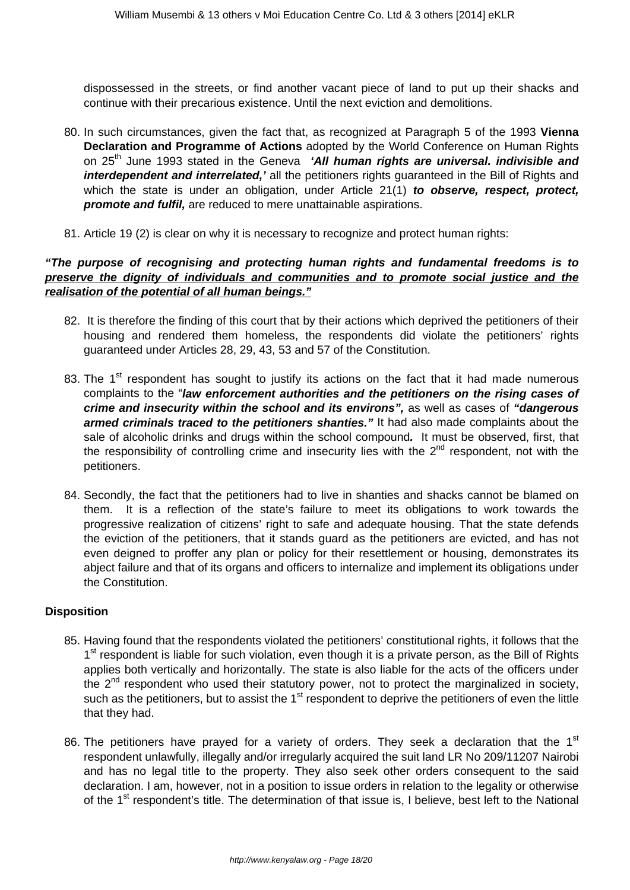dispossessed in the streets, or find another vacant piece of land to put up their shacks and continue with their precarious existence. Until the next eviction and demolitions.

- 80. In such circumstances, given the fact that, as recognized at Paragraph 5 of the 1993 **Vienna Declaration and Programme of Actions** adopted by the World Conference on Human Rights on 25<sup>th</sup> June 1993 stated in the Geneva **'All human rights are universal. indivisible and** interdependent and interrelated,' all the petitioners rights guaranteed in the Bill of Rights and which the state is under an obligation, under Article 21(1) **to observe, respect, protect, promote and fulfil,** are reduced to mere unattainable aspirations.
- 81. Article 19 (2) is clear on why it is necessary to recognize and protect human rights:

#### **"The purpose of recognising and protecting human rights and fundamental freedoms is to preserve the dignity of individuals and communities and to promote social justice and the realisation of the potential of all human beings."**

- 82. It is therefore the finding of this court that by their actions which deprived the petitioners of their housing and rendered them homeless, the respondents did violate the petitioners' rights guaranteed under Articles 28, 29, 43, 53 and 57 of the Constitution.
- 83. The  $1<sup>st</sup>$  respondent has sought to justify its actions on the fact that it had made numerous complaints to the "**law enforcement authorities and the petitioners on the rising cases of crime and insecurity within the school and its environs",** as well as cases of **"dangerous armed criminals traced to the petitioners shanties."** It had also made complaints about the sale of alcoholic drinks and drugs within the school compound**.** It must be observed, first, that the responsibility of controlling crime and insecurity lies with the  $2<sup>nd</sup>$  respondent, not with the petitioners.
- 84. Secondly, the fact that the petitioners had to live in shanties and shacks cannot be blamed on them. It is a reflection of the state's failure to meet its obligations to work towards the progressive realization of citizens' right to safe and adequate housing. That the state defends the eviction of the petitioners, that it stands guard as the petitioners are evicted, and has not even deigned to proffer any plan or policy for their resettlement or housing, demonstrates its abject failure and that of its organs and officers to internalize and implement its obligations under the Constitution.

#### **Disposition**

- 85. Having found that the respondents violated the petitioners' constitutional rights, it follows that the 1<sup>st</sup> respondent is liable for such violation, even though it is a private person, as the Bill of Rights applies both vertically and horizontally. The state is also liable for the acts of the officers under the  $2<sup>nd</sup>$  respondent who used their statutory power, not to protect the marginalized in society, such as the petitioners, but to assist the  $1<sup>st</sup>$  respondent to deprive the petitioners of even the little that they had.
- 86. The petitioners have prayed for a variety of orders. They seek a declaration that the  $1<sup>st</sup>$ respondent unlawfully, illegally and/or irregularly acquired the suit land LR No 209/11207 Nairobi and has no legal title to the property. They also seek other orders consequent to the said declaration. I am, however, not in a position to issue orders in relation to the legality or otherwise of the 1<sup>st</sup> respondent's title. The determination of that issue is, I believe, best left to the National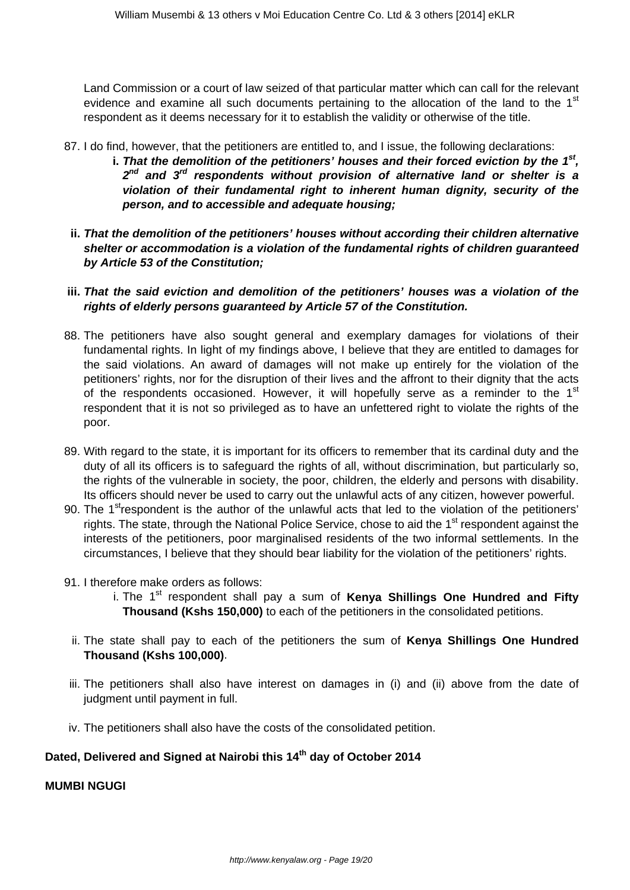Land Commission or a court of law seized of that particular matter which can call for the relevant evidence and examine all such documents pertaining to the allocation of the land to the  $1<sup>st</sup>$ respondent as it deems necessary for it to establish the validity or otherwise of the title.

- 87. I do find, however, that the petitioners are entitled to, and I issue, the following declarations:
	- i. That the demolition of the petitioners' houses and their forced eviction by the 1<sup>st</sup>, **2 nd and 3rd respondents without provision of alternative land or shelter is a violation of their fundamental right to inherent human dignity, security of the person, and to accessible and adequate housing;**
- **ii. That the demolition of the petitioners' houses without according their children alternative shelter or accommodation is a violation of the fundamental rights of children guaranteed by Article 53 of the Constitution;**
- **iii. That the said eviction and demolition of the petitioners' houses was a violation of the rights of elderly persons guaranteed by Article 57 of the Constitution.**
- 88. The petitioners have also sought general and exemplary damages for violations of their fundamental rights. In light of my findings above, I believe that they are entitled to damages for the said violations. An award of damages will not make up entirely for the violation of the petitioners' rights, nor for the disruption of their lives and the affront to their dignity that the acts of the respondents occasioned. However, it will hopefully serve as a reminder to the 1<sup>st</sup> respondent that it is not so privileged as to have an unfettered right to violate the rights of the poor.
- 89. With regard to the state, it is important for its officers to remember that its cardinal duty and the duty of all its officers is to safeguard the rights of all, without discrimination, but particularly so, the rights of the vulnerable in society, the poor, children, the elderly and persons with disability. Its officers should never be used to carry out the unlawful acts of any citizen, however powerful.
- 90. The 1<sup>st</sup>respondent is the author of the unlawful acts that led to the violation of the petitioners' rights. The state, through the National Police Service, chose to aid the 1<sup>st</sup> respondent against the interests of the petitioners, poor marginalised residents of the two informal settlements. In the circumstances, I believe that they should bear liability for the violation of the petitioners' rights.
- 91. I therefore make orders as follows:
	- i. The 1<sup>st</sup> respondent shall pay a sum of **Kenya Shillings One Hundred and Fifty Thousand (Kshs 150,000)** to each of the petitioners in the consolidated petitions.
	- ii. The state shall pay to each of the petitioners the sum of **Kenya Shillings One Hundred Thousand (Kshs 100,000)**.
- iii. The petitioners shall also have interest on damages in (i) and (ii) above from the date of judgment until payment in full.
- iv. The petitioners shall also have the costs of the consolidated petition.

# **Dated, Delivered and Signed at Nairobi this 14th day of October 2014**

**MUMBI NGUGI**